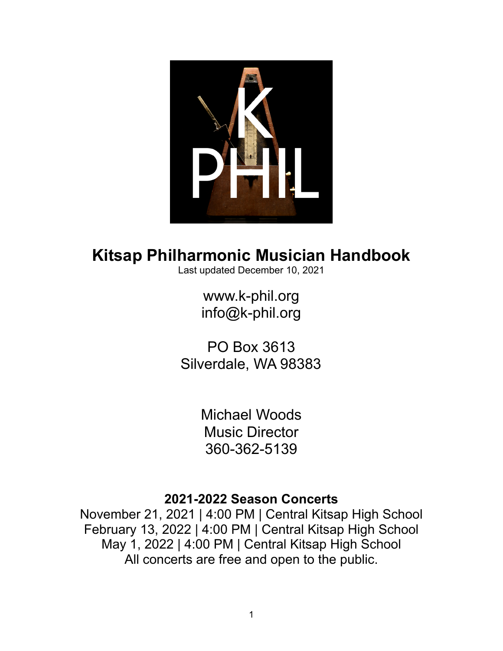

# **Kitsap Philharmonic Musician Handbook**

Last updated December 10, 2021

[www.k-phil.org](https://www.k-phil.org) [info@k-phil.org](mailto:info@k-phil.org)

PO Box 3613 Silverdale, WA 98383

> Michael Woods Music Director 360-362-5139

## **2021-2022 Season Concerts**

November 21, 2021 | 4:00 PM | Central Kitsap High School February 13, 2022 | 4:00 PM | Central Kitsap High School May 1, 2022 | 4:00 PM | Central Kitsap High School All concerts are free and open to the public.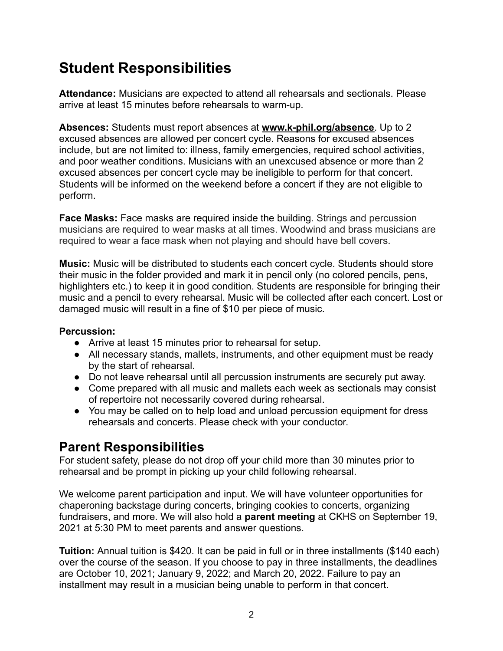## **Student Responsibilities**

**Attendance:** Musicians are expected to attend all rehearsals and sectionals. Please arrive at least 15 minutes before rehearsals to warm-up.

**Absences:** Students must report absences at **www.k-phil.org/absence**. Up to 2 excused absences are allowed per concert cycle. Reasons for excused absences include, but are not limited to: illness, family emergencies, required school activities, and poor weather conditions. Musicians with an unexcused absence or more than 2 excused absences per concert cycle may be ineligible to perform for that concert. Students will be informed on the weekend before a concert if they are not eligible to perform.

**Face Masks:** Face masks are required inside the building. Strings and percussion musicians are required to wear masks at all times. Woodwind and brass musicians are required to wear a face mask when not playing and should have bell covers.

**Music:** Music will be distributed to students each concert cycle. Students should store their music in the folder provided and mark it in pencil only (no colored pencils, pens, highlighters etc.) to keep it in good condition. Students are responsible for bringing their music and a pencil to every rehearsal. Music will be collected after each concert. Lost or damaged music will result in a fine of \$10 per piece of music.

#### **Percussion:**

- Arrive at least 15 minutes prior to rehearsal for setup.
- All necessary stands, mallets, instruments, and other equipment must be ready by the start of rehearsal.
- Do not leave rehearsal until all percussion instruments are securely put away.
- Come prepared with all music and mallets each week as sectionals may consist of repertoire not necessarily covered during rehearsal.
- You may be called on to help load and unload percussion equipment for dress rehearsals and concerts. Please check with your conductor.

## **Parent Responsibilities**

For student safety, please do not drop off your child more than 30 minutes prior to rehearsal and be prompt in picking up your child following rehearsal.

We welcome parent participation and input. We will have volunteer opportunities for chaperoning backstage during concerts, bringing cookies to concerts, organizing fundraisers, and more. We will also hold a **parent meeting** at CKHS on September 19, 2021 at 5:30 PM to meet parents and answer questions.

**Tuition:** Annual tuition is \$420. It can be paid in full or in three installments (\$140 each) over the course of the season. If you choose to pay in three installments, the deadlines are October 10, 2021; January 9, 2022; and March 20, 2022. Failure to pay an installment may result in a musician being unable to perform in that concert.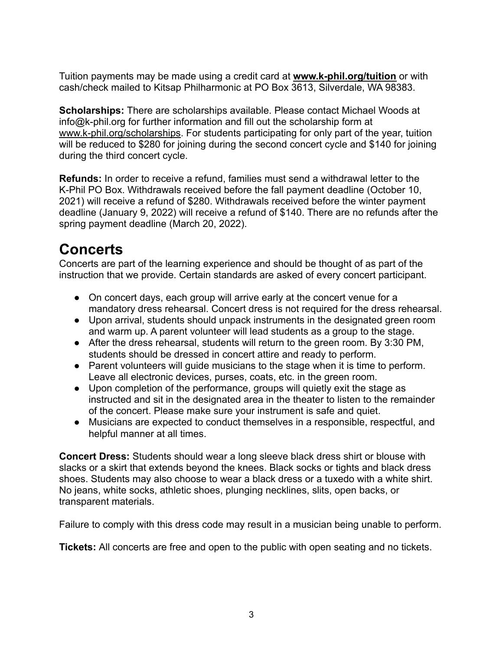Tuition payments may be made using a credit card at **www.k-phil.org/tuition** or with cash/check mailed to Kitsap Philharmonic at PO Box 3613, Silverdale, WA 98383.

**Scholarships:** There are scholarships available. Please contact Michael Woods at info@k-phil.org for further information and fill out the scholarship form at www.k-phil.org/scholarships. For students participating for only part of the year, tuition will be reduced to \$280 for joining during the second concert cycle and \$140 for joining during the third concert cycle.

**Refunds:** In order to receive a refund, families must send a withdrawal letter to the K-Phil PO Box. Withdrawals received before the fall payment deadline (October 10, 2021) will receive a refund of \$280. Withdrawals received before the winter payment deadline (January 9, 2022) will receive a refund of \$140. There are no refunds after the spring payment deadline (March 20, 2022).

## **Concerts**

Concerts are part of the learning experience and should be thought of as part of the instruction that we provide. Certain standards are asked of every concert participant.

- On concert days, each group will arrive early at the concert venue for a mandatory dress rehearsal. Concert dress is not required for the dress rehearsal.
- Upon arrival, students should unpack instruments in the designated green room and warm up. A parent volunteer will lead students as a group to the stage.
- After the dress rehearsal, students will return to the green room. By 3:30 PM, students should be dressed in concert attire and ready to perform.
- Parent volunteers will guide musicians to the stage when it is time to perform. Leave all electronic devices, purses, coats, etc. in the green room.
- Upon completion of the performance, groups will quietly exit the stage as instructed and sit in the designated area in the theater to listen to the remainder of the concert. Please make sure your instrument is safe and quiet.
- Musicians are expected to conduct themselves in a responsible, respectful, and helpful manner at all times.

**Concert Dress:** Students should wear a long sleeve black dress shirt or blouse with slacks or a skirt that extends beyond the knees. Black socks or tights and black dress shoes. Students may also choose to wear a black dress or a tuxedo with a white shirt. No jeans, white socks, athletic shoes, plunging necklines, slits, open backs, or transparent materials.

Failure to comply with this dress code may result in a musician being unable to perform.

**Tickets:** All concerts are free and open to the public with open seating and no tickets.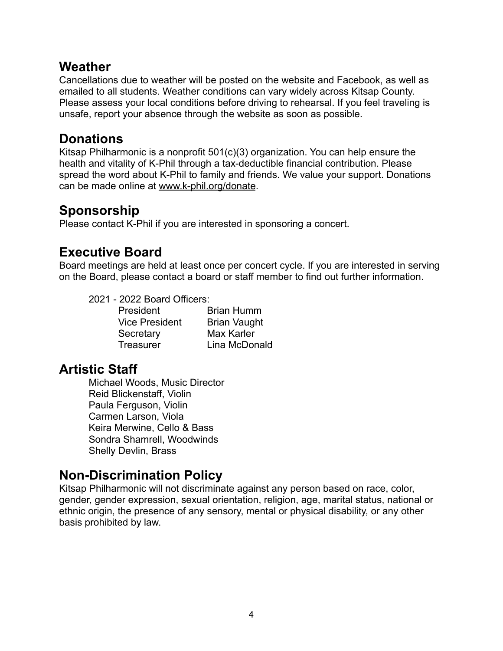### **Weather**

Cancellations due to weather will be posted on the website and Facebook, as well as emailed to all students. Weather conditions can vary widely across Kitsap County. Please assess your local conditions before driving to rehearsal. If you feel traveling is unsafe, report your absence through the website as soon as possible.

#### **Donations**

Kitsap Philharmonic is a nonprofit 501(c)(3) organization. You can help ensure the health and vitality of K-Phil through a tax-deductible financial contribution. Please spread the word about K-Phil to family and friends. We value your support. Donations can be made online at www.k-phil.org/donate.

## **Sponsorship**

Please contact K-Phil if you are interested in sponsoring a concert.

## **Executive Board**

Board meetings are held at least once per concert cycle. If you are interested in serving on the Board, please contact a board or staff member to find out further information.

2021 - 2022 Board Officers:

| President             | <b>Brian Humm</b>   |
|-----------------------|---------------------|
| <b>Vice President</b> | <b>Brian Vaught</b> |
| Secretary             | <b>Max Karler</b>   |
| <b>Treasurer</b>      | Lina McDonald       |

## **Artistic Staff**

Michael Woods, Music Director Reid Blickenstaff, Violin Paula Ferguson, Violin Carmen Larson, Viola Keira Merwine, Cello & Bass Sondra Shamrell, Woodwinds Shelly Devlin, Brass

## **Non-Discrimination Policy**

Kitsap Philharmonic will not discriminate against any person based on race, color, gender, gender expression, sexual orientation, religion, age, marital status, national or ethnic origin, the presence of any sensory, mental or physical disability, or any other basis prohibited by law.